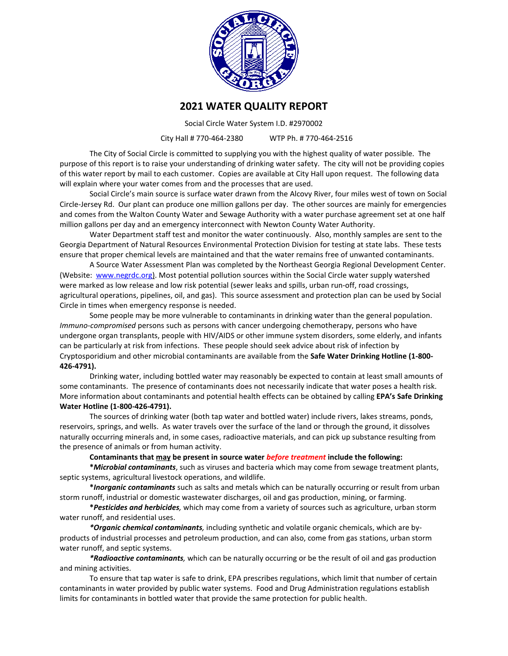

## **2021 WATER QUALITY REPORT**

Social Circle Water System I.D. #2970002

City Hall # 770-464-2380 WTP Ph. # 770-464-2516

The City of Social Circle is committed to supplying you with the highest quality of water possible. The purpose of this report is to raise your understanding of drinking water safety. The city will not be providing copies of this water report by mail to each customer. Copies are available at City Hall upon request. The following data will explain where your water comes from and the processes that are used.

Social Circle's main source is surface water drawn from the Alcovy River, four miles west of town on Social Circle-Jersey Rd. Our plant can produce one million gallons per day. The other sources are mainly for emergencies and comes from the Walton County Water and Sewage Authority with a water purchase agreement set at one half million gallons per day and an emergency interconnect with Newton County Water Authority.

Water Department staff test and monitor the water continuously. Also, monthly samples are sent to the Georgia Department of Natural Resources Environmental Protection Division for testing at state labs. These tests ensure that proper chemical levels are maintained and that the water remains free of unwanted contaminants.

A Source Water Assessment Plan was completed by the Northeast Georgia Regional Development Center. (Website: [www.negrdc.org\)](http://www.negrdc.org/). Most potential pollution sources within the Social Circle water supply watershed were marked as low release and low risk potential (sewer leaks and spills, urban run-off, road crossings, agricultural operations, pipelines, oil, and gas). This source assessment and protection plan can be used by Social Circle in times when emergency response is needed.

Some people may be more vulnerable to contaminants in drinking water than the general population. *Immuno-compromised* persons such as persons with cancer undergoing chemotherapy, persons who have undergone organ transplants, people with HIV/AIDS or other immune system disorders, some elderly, and infants can be particularly at risk from infections. These people should seek advice about risk of infection by Cryptosporidium and other microbial contaminants are available from the **Safe Water Drinking Hotline (1-800- 426-4791).**

Drinking water, including bottled water may reasonably be expected to contain at least small amounts of some contaminants. The presence of contaminants does not necessarily indicate that water poses a health risk. More information about contaminants and potential health effects can be obtained by calling **EPA's Safe Drinking Water Hotline (1-800-426-4791).**

The sources of drinking water (both tap water and bottled water) include rivers, lakes streams, ponds, reservoirs, springs, and wells. As water travels over the surface of the land or through the ground, it dissolves naturally occurring minerals and, in some cases, radioactive materials, and can pick up substance resulting from the presence of animals or from human activity.

**Contaminants that may be present in source water** *before treatment* **include the following:**

**\****Microbial contaminants*, such as viruses and bacteria which may come from sewage treatment plants, septic systems, agricultural livestock operations, and wildlife.

**\****Inorganic contaminants* such as salts and metals which can be naturally occurring or result from urban storm runoff, industrial or domestic wastewater discharges, oil and gas production, mining, or farming.

**\****Pesticides and herbicides,* which may come from a variety of sources such as agriculture, urban storm water runoff, and residential uses.

*\*Organic chemical contaminants,* including synthetic and volatile organic chemicals, which are byproducts of industrial processes and petroleum production, and can also, come from gas stations, urban storm water runoff, and septic systems.

*\*Radioactive contaminants,* which can be naturally occurring or be the result of oil and gas production and mining activities.

To ensure that tap water is safe to drink, EPA prescribes regulations, which limit that number of certain contaminants in water provided by public water systems. Food and Drug Administration regulations establish limits for contaminants in bottled water that provide the same protection for public health.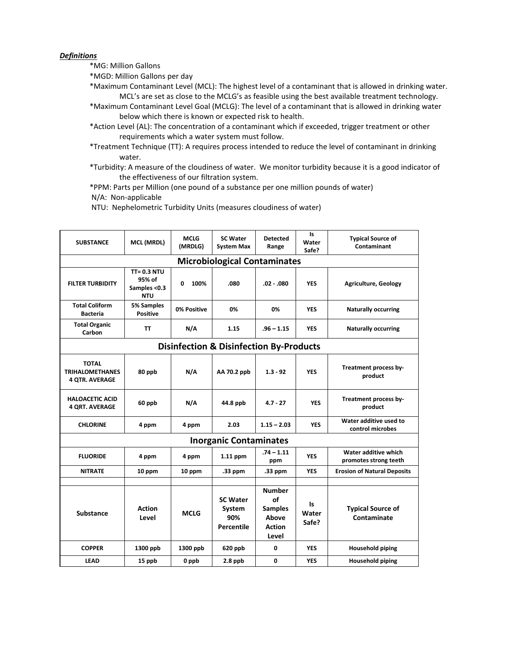## *Definitions*

## \*MG: Million Gallons

\*MGD: Million Gallons per day

\*Maximum Contaminant Level (MCL): The highest level of a contaminant that is allowed in drinking water. MCL's are set as close to the MCLG's as feasible using the best available treatment technology.

- \*Maximum Contaminant Level Goal (MCLG): The level of a contaminant that is allowed in drinking water below which there is known or expected risk to health.
- \*Action Level (AL): The concentration of a contaminant which if exceeded, trigger treatment or other requirements which a water system must follow.
- \*Treatment Technique (TT): A requires process intended to reduce the level of contaminant in drinking water.
- \*Turbidity: A measure of the cloudiness of water. We monitor turbidity because it is a good indicator of the effectiveness of our filtration system.

\*PPM: Parts per Million (one pound of a substance per one million pounds of water)

N/A: Non-applicable

NTU: Nephelometric Turbidity Units (measures cloudiness of water)

| <b>SUBSTANCE</b>                                                | <b>MCL (MRDL)</b>                                          | <b>MCLG</b><br>(MRDLG) | <b>SC Water</b><br><b>System Max</b>           | <b>Detected</b><br>Range                                                 | Is<br>Water<br>Safe?        | <b>Typical Source of</b><br>Contaminant       |
|-----------------------------------------------------------------|------------------------------------------------------------|------------------------|------------------------------------------------|--------------------------------------------------------------------------|-----------------------------|-----------------------------------------------|
| <b>Microbiological Contaminates</b>                             |                                                            |                        |                                                |                                                                          |                             |                                               |
| <b>FILTER TURBIDITY</b>                                         | <b>TT= 0.3 NTU</b><br>95% of<br>Samples <0.3<br><b>NTU</b> | $\mathbf 0$<br>100%    | .080                                           | $.02-.080$                                                               | <b>YES</b>                  | <b>Agriculture, Geology</b>                   |
| <b>Total Coliform</b><br><b>Bacteria</b>                        | 5% Samples<br><b>Positive</b>                              | 0% Positive            | 0%                                             | 0%                                                                       | <b>YES</b>                  | <b>Naturally occurring</b>                    |
| <b>Total Organic</b><br>Carbon                                  | <b>TT</b>                                                  | N/A                    | 1.15                                           | $.96 - 1.15$                                                             | <b>YES</b>                  | <b>Naturally occurring</b>                    |
| <b>Disinfection &amp; Disinfection By-Products</b>              |                                                            |                        |                                                |                                                                          |                             |                                               |
| <b>TOTAL</b><br><b>TRIHALOMETHANES</b><br><b>4 QTR. AVERAGE</b> | 80 ppb                                                     | N/A                    | AA 70.2 ppb                                    | $1.3 - 92$                                                               | <b>YES</b>                  | Treatment process by-<br>product              |
| <b>HALOACETIC ACID</b><br><b>4 QRT. AVERAGE</b>                 | 60 ppb                                                     | N/A                    | 44.8 ppb                                       | $4.7 - 27$                                                               | <b>YES</b>                  | Treatment process by-<br>product              |
| <b>CHLORINE</b>                                                 | 4 ppm                                                      | 4 ppm                  | 2.03                                           | $1.15 - 2.03$                                                            | <b>YES</b>                  | Water additive used to<br>control microbes    |
| <b>Inorganic Contaminates</b>                                   |                                                            |                        |                                                |                                                                          |                             |                                               |
| <b>FLUORIDE</b>                                                 | 4 ppm                                                      | 4 ppm                  | $1.11$ ppm                                     | $.74 - 1.11$<br>ppm                                                      | <b>YES</b>                  | Water additive which<br>promotes strong teeth |
| <b>NITRATE</b>                                                  | 10 ppm                                                     | 10 ppm                 | .33 ppm                                        | .33 ppm                                                                  | <b>YES</b>                  | <b>Erosion of Natural Deposits</b>            |
| <b>Substance</b>                                                | <b>Action</b><br>Level                                     | <b>MCLG</b>            | <b>SC Water</b><br>System<br>90%<br>Percentile | <b>Number</b><br>of<br><b>Samples</b><br>Above<br><b>Action</b><br>Level | <b>Is</b><br>Water<br>Safe? | <b>Typical Source of</b><br>Contaminate       |
| <b>COPPER</b>                                                   | 1300 ppb                                                   | 1300 ppb               | 620 ppb                                        | 0                                                                        | <b>YES</b>                  | <b>Household piping</b>                       |
| <b>LEAD</b>                                                     | 15 ppb                                                     | 0 ppb                  | $2.8$ ppb                                      | 0                                                                        | <b>YES</b>                  | <b>Household piping</b>                       |